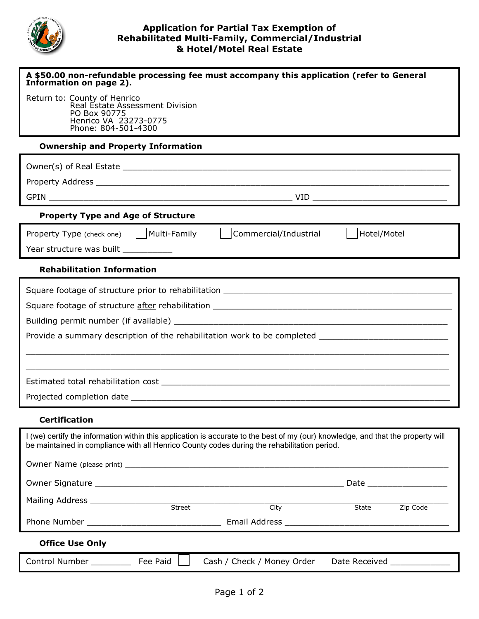

## **Application for Partial Tax Exemption of Rehabilitated Multi-Family, Commercial/Industrial & Hotel/Motel Real Estate**

| A \$50.00 non-refundable processing fee must accompany this application (refer to General<br>Information on page 2).                                                                                                            |          |                            |               |          |
|---------------------------------------------------------------------------------------------------------------------------------------------------------------------------------------------------------------------------------|----------|----------------------------|---------------|----------|
| Return to: County of Henrico<br>Real Estate Assessment Division<br>PO Box 90775<br>Henrico VA 23273-0775<br>Phone: 804-501-4300                                                                                                 |          |                            |               |          |
| <b>Ownership and Property Information</b>                                                                                                                                                                                       |          |                            |               |          |
|                                                                                                                                                                                                                                 |          |                            |               |          |
|                                                                                                                                                                                                                                 |          |                            |               |          |
|                                                                                                                                                                                                                                 |          |                            |               |          |
| <b>Property Type and Age of Structure</b>                                                                                                                                                                                       |          |                            |               |          |
| Property Type (check one)   Multi-Family                                                                                                                                                                                        |          | Commercial/Industrial      | Hotel/Motel   |          |
| Year structure was built ___________                                                                                                                                                                                            |          |                            |               |          |
| <b>Rehabilitation Information</b>                                                                                                                                                                                               |          |                            |               |          |
|                                                                                                                                                                                                                                 |          |                            |               |          |
|                                                                                                                                                                                                                                 |          |                            |               |          |
|                                                                                                                                                                                                                                 |          |                            |               |          |
| Provide a summary description of the rehabilitation work to be completed ___________________________                                                                                                                            |          |                            |               |          |
|                                                                                                                                                                                                                                 |          |                            |               |          |
|                                                                                                                                                                                                                                 |          |                            |               |          |
|                                                                                                                                                                                                                                 |          |                            |               |          |
|                                                                                                                                                                                                                                 |          |                            |               |          |
| <b>Certification</b>                                                                                                                                                                                                            |          |                            |               |          |
| I (we) certify the information within this application is accurate to the best of my (our) knowledge, and that the property will<br>be maintained in compliance with all Henrico County codes during the rehabilitation period. |          |                            |               |          |
|                                                                                                                                                                                                                                 |          |                            |               |          |
|                                                                                                                                                                                                                                 |          |                            |               |          |
| Mailing Address ____________________                                                                                                                                                                                            | Street   | City                       | State Theorem | Zip Code |
|                                                                                                                                                                                                                                 |          |                            |               |          |
| <b>Office Use Only</b>                                                                                                                                                                                                          |          |                            |               |          |
| Control Number                                                                                                                                                                                                                  | Fee Paid |                            |               |          |
|                                                                                                                                                                                                                                 |          | Cash / Check / Money Order |               |          |